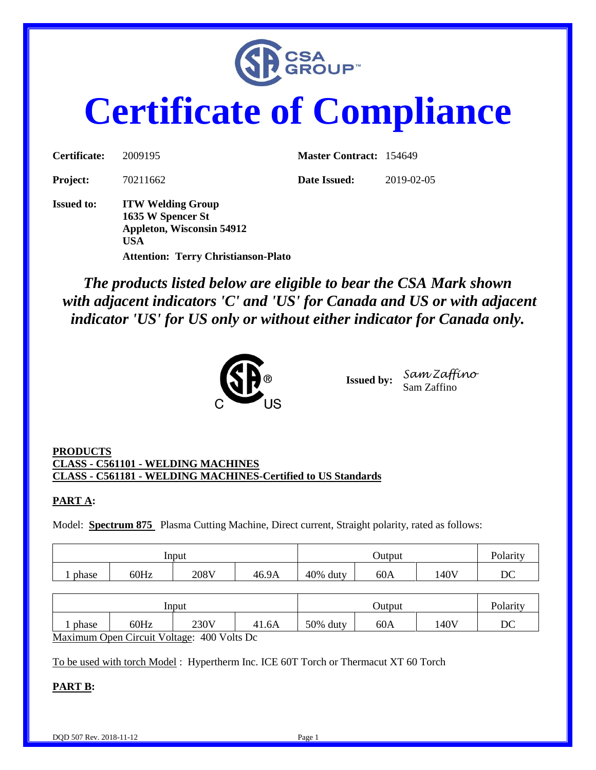

# **Certificate of Compliance**

| Certificate:      | 2009195                                                                                                                                       | <b>Master Contract: 154649</b> |            |
|-------------------|-----------------------------------------------------------------------------------------------------------------------------------------------|--------------------------------|------------|
| <b>Project:</b>   | 70211662                                                                                                                                      | Date Issued:                   | 2019-02-05 |
| <b>Issued to:</b> | <b>ITW Welding Group</b><br>1635 W Spencer St<br><b>Appleton, Wisconsin 54912</b><br><b>USA</b><br><b>Attention: Terry Christianson-Plato</b> |                                |            |

*The products listed below are eligible to bear the CSA Mark shown with adjacent indicators 'C' and 'US' for Canada and US or with adjacent indicator 'US' for US only or without either indicator for Canada only.*



**Issued by:** *Sam Zaffino* Sam Zaffino

#### **PRODUCTS CLASS - C561101 - WELDING MACHINES CLASS - C561181 - WELDING MACHINES-Certified to US Standards**

#### **PART A:**

Model: **Spectrum 875** Plasma Cutting Machine, Direct current, Straight polarity, rated as follows:

|       |      | Input |       | Output      |     |      | <b>Polarity</b> |
|-------|------|-------|-------|-------------|-----|------|-----------------|
| phase | 60Hz | 208V  | 46.9A | 40%<br>duty | 60A | 140V | DC              |

|                                             |      | Input |       | Jutput   |     |      | Polarity |
|---------------------------------------------|------|-------|-------|----------|-----|------|----------|
| phase                                       | 60Hz | 230V  | 41.6A | 50% duty | 60A | 140V | DC       |
| Maximum Open Circuit Voltage: 400 Volts Dc. |      |       |       |          |     |      |          |

Maximum Open Circuit Voltage: 400 Volts Dc

To be used with torch Model : Hypertherm Inc. ICE 60T Torch or Thermacut XT 60 Torch

#### **PART B:**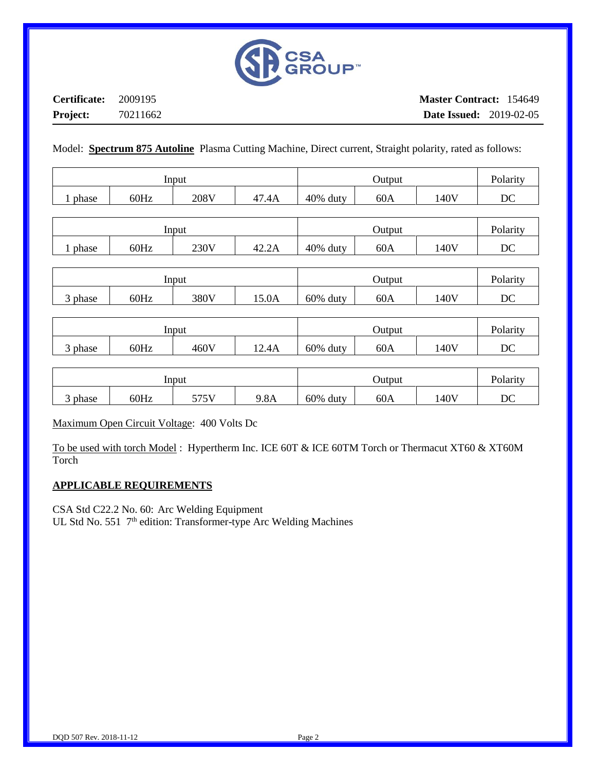

**Certificate:** 2009195 **Project:** 70211662

Model: **Spectrum 875 Autoline** Plasma Cutting Machine, Direct current, Straight polarity, rated as follows:

|       |      | Input |           | Output      |     |      | Polarity |
|-------|------|-------|-----------|-------------|-----|------|----------|
| phase | 60Hz | 208V  | 47<br>.4A | 40%<br>duty | 60A | 140V | DC       |

|       |      | Input |       | Output      |     |      | Polarity |
|-------|------|-------|-------|-------------|-----|------|----------|
| phase | 60Hz | 230V  | 42.2A | 40%<br>duty | 60A | 140V | DC       |

|                                   |      | Input |       | Output   |     |      | Polarity |
|-----------------------------------|------|-------|-------|----------|-----|------|----------|
| $\overline{\phantom{a}}$<br>phase | 60Hz | 380V  | 15.0A | 60% duty | 60A | 140V | DC       |

|       |      | Input |       | Output      |     |      | Polarity |
|-------|------|-------|-------|-------------|-----|------|----------|
| phase | 60Hz | 460V  | 12.4A | 60%<br>duty | 60A | 140V | DC       |

|                                        |      | Input              |      | Output   |     |      | Polarity |
|----------------------------------------|------|--------------------|------|----------|-----|------|----------|
| $\overline{\phantom{0}}$<br>phase<br>J | 60Hz | 5751<br><u>JIJ</u> | 9.8A | 60% duty | 60A | 140V | DC       |

Maximum Open Circuit Voltage: 400 Volts Dc

To be used with torch Model : Hypertherm Inc. ICE 60T & ICE 60TM Torch or Thermacut XT60 & XT60M Torch

#### **APPLICABLE REQUIREMENTS**

CSA Std C22.2 No. 60: Arc Welding Equipment UL Std No. 551 7<sup>th</sup> edition: Transformer-type Arc Welding Machines